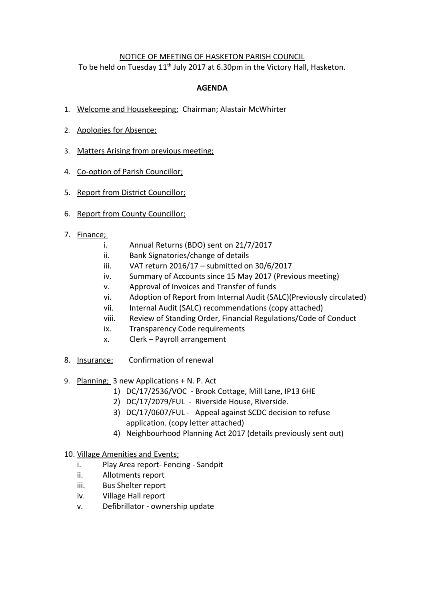## NOTICE OF MEETING OF HASKETON PARISH COUNCIL

To be held on Tuesday 11<sup>th</sup> July 2017 at 6.30pm in the Victory Hall, Hasketon.

## **AGENDA**

- 1. Welcome and Housekeeping; Chairman; Alastair McWhirter
- 2. Apologies for Absence;
- 3. Matters Arising from previous meeting;
- 4. Co-option of Parish Councillor;
- 5. Report from District Councillor;
- 6. Report from County Councillor;
- 7. Finance;
	- i. Annual Returns (BDO) sent on 21/7/2017
	- ii. Bank Signatories/change of details
	- iii. VAT return 2016/17 submitted on 30/6/2017
	- iv. Summary of Accounts since 15 May 2017 (Previous meeting)
	- v. Approval of Invoices and Transfer of funds
	- vi. Adoption of Report from Internal Audit (SALC)(Previously circulated)
	- vii. Internal Audit (SALC) recommendations (copy attached)
	- viii. Review of Standing Order, Financial Regulations/Code of Conduct
	- ix. Transparency Code requirements
	- x. Clerk Payroll arrangement
- 8. Insurance; Confirmation of renewal
- 9. Planning; 3 new Applications + N. P. Act
	- 1) DC/17/2536/VOC Brook Cottage, Mill Lane, IP13 6HE
	- 2) DC/17/2079/FUL Riverside House, Riverside.
	- 3) DC/17/0607/FUL Appeal against SCDC decision to refuse application. (copy letter attached)
	- 4) Neighbourhood Planning Act 2017 (details previously sent out)

## 10. Village Amenities and Events;

- i. Play Area report- Fencing Sandpit
- ii. Allotments report
- iii. Bus Shelter report
- iv. Village Hall report
- v. Defibrillator ownership update